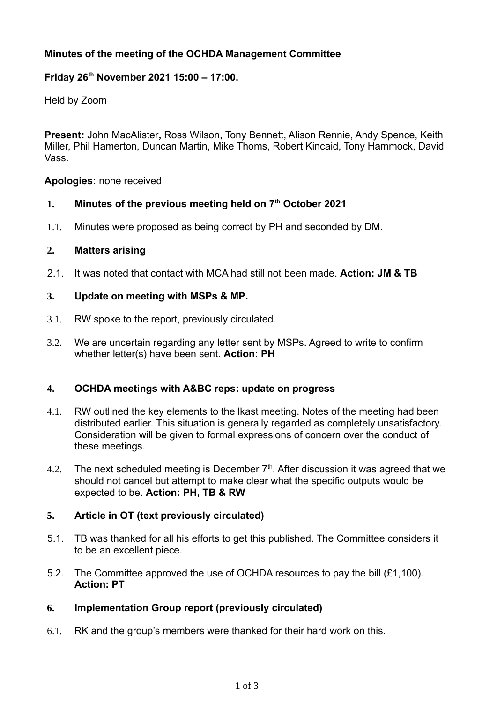# **Minutes of the meeting of the OCHDA Management Committee**

# **Friday 26th November 2021 15:00 – 17:00.**

Held by Zoom

**Present:** John MacAlister**,** Ross Wilson, Tony Bennett, Alison Rennie, Andy Spence, Keith Miller, Phil Hamerton, Duncan Martin, Mike Thoms, Robert Kincaid, Tony Hammock, David Vass.

#### **Apologies:** none received

# **1. Minutes of the previous meeting held on 7 th October 2021**

1.1. Minutes were proposed as being correct by PH and seconded by DM.

#### **2. Matters arising**

2.1. It was noted that contact with MCA had still not been made. **Action: JM & TB**

# **3. Update on meeting with MSPs & MP.**

- 3.1. RW spoke to the report, previously circulated.
- 3.2. We are uncertain regarding any letter sent by MSPs. Agreed to write to confirm whether letter(s) have been sent. **Action: PH**

#### **4. OCHDA meetings with A&BC reps: update on progress**

- 4.1. RW outlined the key elements to the lkast meeting. Notes of the meeting had been distributed earlier. This situation is generally regarded as completely unsatisfactory. Consideration will be given to formal expressions of concern over the conduct of these meetings.
- 4.2. The next scheduled meeting is December  $7<sup>th</sup>$ . After discussion it was agreed that we should not cancel but attempt to make clear what the specific outputs would be expected to be. **Action: PH, TB & RW**

#### **5. Article in OT (text previously circulated)**

- 5.1. TB was thanked for all his efforts to get this published. The Committee considers it to be an excellent piece.
- 5.2. The Committee approved the use of OCHDA resources to pay the bill (£1,100). **Action: PT**

#### **6. Implementation Group report (previously circulated)**

6.1. RK and the group's members were thanked for their hard work on this.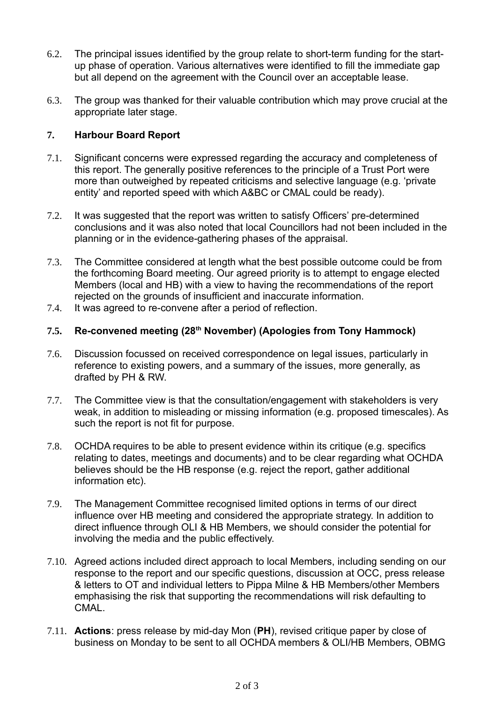- 6.2. The principal issues identified by the group relate to short-term funding for the startup phase of operation. Various alternatives were identified to fill the immediate gap but all depend on the agreement with the Council over an acceptable lease.
- 6.3. The group was thanked for their valuable contribution which may prove crucial at the appropriate later stage.

# **7. Harbour Board Report**

- 7.1. Significant concerns were expressed regarding the accuracy and completeness of this report. The generally positive references to the principle of a Trust Port were more than outweighed by repeated criticisms and selective language (e.g. 'private entity' and reported speed with which A&BC or CMAL could be ready).
- 7.2. It was suggested that the report was written to satisfy Officers' pre-determined conclusions and it was also noted that local Councillors had not been included in the planning or in the evidence-gathering phases of the appraisal.
- 7.3. The Committee considered at length what the best possible outcome could be from the forthcoming Board meeting. Our agreed priority is to attempt to engage elected Members (local and HB) with a view to having the recommendations of the report rejected on the grounds of insufficient and inaccurate information.
- 7.4. It was agreed to re-convene after a period of reflection.

#### **7.5. Re-convened meeting (28th November) (Apologies from Tony Hammock)**

- 7.6. Discussion focussed on received correspondence on legal issues, particularly in reference to existing powers, and a summary of the issues, more generally, as drafted by PH & RW.
- 7.7. The Committee view is that the consultation/engagement with stakeholders is very weak, in addition to misleading or missing information (e.g. proposed timescales). As such the report is not fit for purpose.
- 7.8. OCHDA requires to be able to present evidence within its critique (e.g. specifics relating to dates, meetings and documents) and to be clear regarding what OCHDA believes should be the HB response (e.g. reject the report, gather additional information etc).
- 7.9. The Management Committee recognised limited options in terms of our direct influence over HB meeting and considered the appropriate strategy. In addition to direct influence through OLI & HB Members, we should consider the potential for involving the media and the public effectively.
- 7.10. Agreed actions included direct approach to local Members, including sending on our response to the report and our specific questions, discussion at OCC, press release & letters to OT and individual letters to Pippa Milne & HB Members/other Members emphasising the risk that supporting the recommendations will risk defaulting to CMAL.
- 7.11. **Actions**: press release by mid-day Mon (**PH**), revised critique paper by close of business on Monday to be sent to all OCHDA members & OLI/HB Members, OBMG